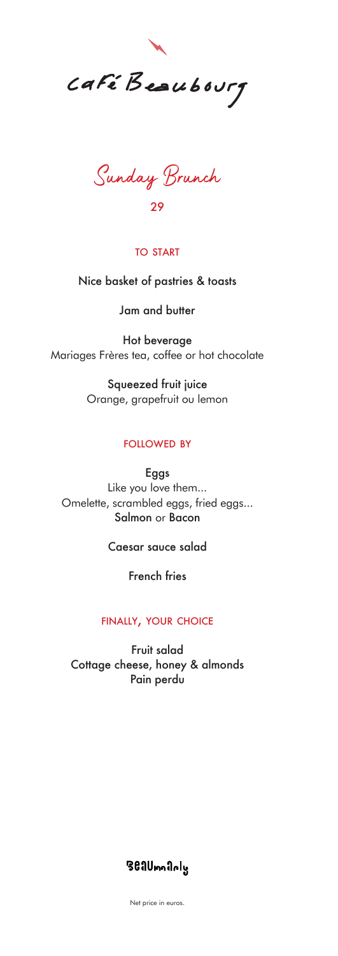

Sunday Brunch 29

### to start

Nice basket of pastries & toasts

Jam and butter

Hot beverage Mariages Frères tea, coffee or hot chocolate

> Squeezed fruit juice Orange, grapefruit ou lemon

## followed by

Eggs Like you love them... Omelette, scrambled eggs, fried eggs... Salmon or Bacon

## Caesar sauce salad

French fries

### finally, your choice

Fruit salad Cottage cheese, honey & almonds Pain perdu

# **361Umn1nly**

Net price in euros.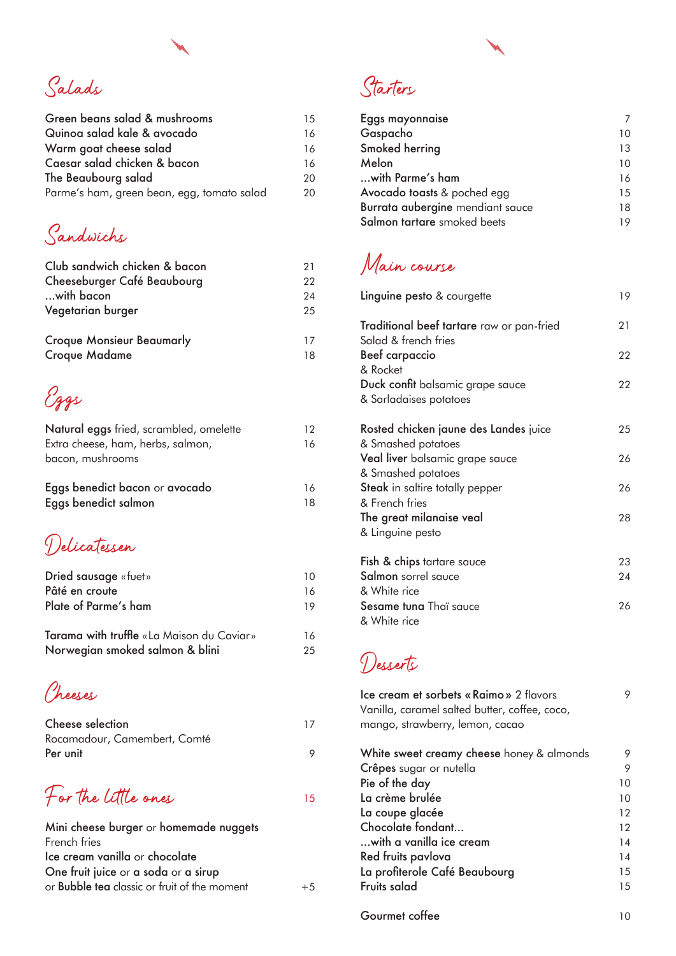

| Green beans salad & mushrooms              | 15 |
|--------------------------------------------|----|
| Quinoa salad kale & avocado                | 16 |
| Warm goat cheese salad                     | 16 |
| Caesar salad chicken & bacon               | 16 |
| The Beaubourg salad                        | 20 |
| Parme's ham, green bean, egg, tomato salad | 20 |

Sandwichs

| Club sandwich chicken & bacon    | 21 |
|----------------------------------|----|
| Cheeseburger Café Beaubourg      | 22 |
| with bacon                       | 24 |
| Vegetarian burger                | 25 |
| <b>Croque Monsieur Beaumarly</b> | 17 |
| <b>Croque Madame</b>             | 18 |

Eggs

| Natural eggs fried, scrambled, omelette | 12 |
|-----------------------------------------|----|
| Extra cheese, ham, herbs, salmon,       | 16 |
| bacon, mushrooms                        |    |
|                                         |    |
| Eggs benedict bacon or avocado          | 16 |
| Eggs benedict salmon                    | 18 |
|                                         |    |

Delicatessen

| Dried sausage «fuet»                      | 10  |
|-------------------------------------------|-----|
| Pâté en croute                            | 16  |
| Plate of Parme's ham                      | 19  |
| Tarama with truffle «La Maison du Caviar» | 16  |
| Norwegian smoked salmon & blini           | 25. |

Cheeses

| Cheese selection             | 17 |
|------------------------------|----|
| Rocamadour, Camembert, Comté |    |
| Per unit                     |    |

15 For the little ones

| Mini cheese burger or homemade nuggets              |      |
|-----------------------------------------------------|------|
| French fries                                        |      |
| Ice cream vanilla or chocolate                      |      |
| One fruit juice or a soda or a sirup                |      |
| or <b>Bubble tea</b> classic or fruit of the moment | $+5$ |

Starters

| Eggs mayonnaise                  |    |
|----------------------------------|----|
| Gaspacho                         | 10 |
| Smoked herring                   | 13 |
| Melon                            | 10 |
| with Parme's ham                 | 16 |
| Avocado toasts & poched egg      | 15 |
| Burrata aubergine mendiant sauce | 18 |
| Salmon tartare smoked beets      | 19 |

Main course

| Linguine pesto & courgette                                        | 19 |
|-------------------------------------------------------------------|----|
| Traditional beef tartare raw or pan-fried<br>Salad & french fries | 21 |
| <b>Beef carpaccio</b><br>& Rocket                                 | 22 |
| Duck confit balsamic grape sauce<br>& Sarladaises potatoes        | 22 |
| Rosted chicken jaune des Landes juice<br>& Smashed potatoes       | 25 |
| Veal liver balsamic grape sauce<br>& Smashed potatoes             | 26 |
| Steak in saltire totally pepper<br>& French fries                 | 26 |
| The great milanaise veal<br>& Linguine pesto                      | 28 |
| <b>Fish &amp; chips</b> tartare sauce                             | 23 |
| <b>Salmon</b> sorrel sauce<br>& White rice                        | 24 |
| Sesame tuna Thaï sauce<br>& White rice                            | 26 |

Desserts

| Ice cream et sorbets « Raimo » 2 flavors<br>Vanilla, caramel salted butter, coffee, coco,<br>mango, strawberry, lemon, cacao |    |
|------------------------------------------------------------------------------------------------------------------------------|----|
| White sweet creamy cheese honey & almonds                                                                                    | 9  |
| Crêpes sugar or nutella                                                                                                      | 9  |
| Pie of the day                                                                                                               | 10 |
| La crème brulée                                                                                                              | 10 |
| La coupe glacée                                                                                                              | 12 |
| Chocolate fondant                                                                                                            | 12 |
| with a vanilla ice cream                                                                                                     | 14 |
| Red fruits pavlova                                                                                                           | 14 |
| La profiterole Café Beaubourg                                                                                                | 15 |
| Fruits salad                                                                                                                 | 15 |
|                                                                                                                              |    |

Gourmet coffee